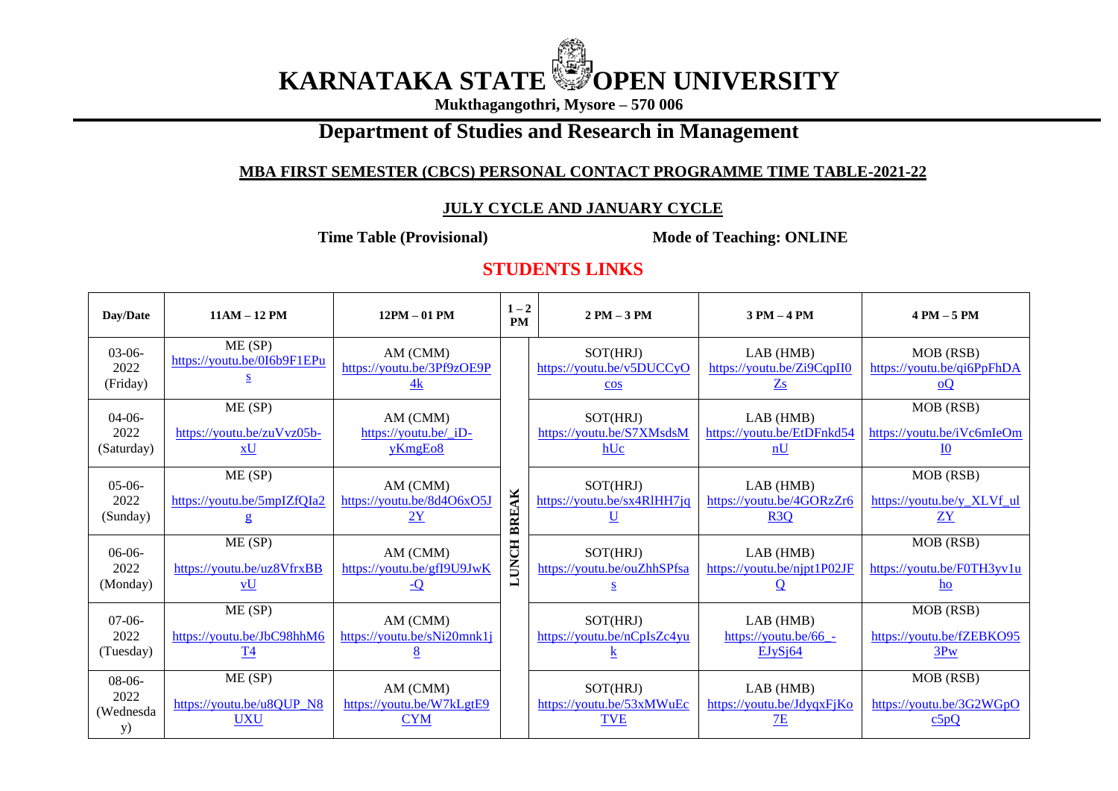# **KARNATAKA STATE WE OPEN UNIVERSITY**

**Mukthagangothri, Mysore – 570 006**

# **Department of Studies and Research in Management**

### **MBA FIRST SEMESTER (CBCS) PERSONAL CONTACT PROGRAMME TIME TABLE-2021-22**

#### **JULY CYCLE AND JANUARY CYCLE**

**Time Table (Provisional)** Mode of Teaching: ONLINE

## **STUDENTS LINKS**

| Day/Date                            | $11AM - 12 PM$                                    | $12PM - 01 PM$                                           | $1 - 2$<br><b>PM</b> | $2 PM - 3 PM$                                                       | $3 PM - 4 PM$                                           | $4 PM - 5 PM$                                                        |
|-------------------------------------|---------------------------------------------------|----------------------------------------------------------|----------------------|---------------------------------------------------------------------|---------------------------------------------------------|----------------------------------------------------------------------|
| $03-06-$<br>2022<br>(Friday)        | ME(SP)<br>https://youtu.be/0I6b9F1EPu             | AM (CMM)<br>https://youtu.be/3Pf9zOE9P<br>4k             | BREAK<br>LUNCH       | SOT(HRJ)<br>https://youtu.be/v5DUCCyO<br>$\overline{\cos}$          | LAB(HMB)<br>https://youtu.be/Zi9CqpII0<br>$\mathbf{Zs}$ | MOB (RSB)<br>https://youtu.be/qi6PpFhDA<br>Q                         |
| $04-06-$<br>2022<br>(Saturday)      | ME(SP)<br>https://youtu.be/zuVvz05b-<br>xU        | AM (CMM)<br>https://youtu.be/_iD-<br>yKmgEo <sub>8</sub> |                      | SOT(HRJ)<br>https://youtu.be/S7XMsdsM<br>hUc                        | LAB(HMB)<br>https://youtu.be/EtDFnkd54<br>nU            | MOB (RSB)<br>https://youtu.be/iVc6mIeOm<br>$\underline{\mathrm{10}}$ |
| $05-06-$<br>2022<br>(Sunday)        | ME(SP)<br>https://youtu.be/5mpIZfQIa2             | AM (CMM)<br>https://youtu.be/8d4O6xO5J<br>2Y             |                      | SOT(HRJ)<br>https://youtu.be/sx4RlHH7jq<br>$\underline{\mathtt{U}}$ | LAB (HMB)<br>https://youtu.be/4GORzZr6<br>R3Q           | MOB (RSB)<br>https://youtu.be/y XLVf ul<br>ZY                        |
| $06-06-$<br>2022<br>(Monday)        | ME(SP)<br>https://youtu.be/uz8VfrxBB<br><b>vU</b> | AM (CMM)<br>https://youtu.be/gfI9U9JwK<br><u>-Q</u>      |                      | SOT(HRJ)<br>https://youtu.be/ouZhhSPfsa                             | LAB(HMB)<br>https://youtu.be/njpt1P02JF                 | MOB (RSB)<br>https://youtu.be/F0TH3yv1u<br>ho                        |
| $07-06-$<br>2022<br>(Tuesday)       | ME(SP)<br>https://youtu.be/JbC98hhM6<br>T4        | AM (CMM)<br>https://youtu.be/sNi20mnk1j                  |                      | SOT(HRJ)<br>https://youtu.be/nCpIsZc4yu                             | LAB(HMB)<br>https://youtu.be/66 -<br>EJvSi64            | MOB (RSB)<br>https://youtu.be/fZEBK095<br>3PW                        |
| $08-06-$<br>2022<br>(Wednesda<br>y) | ME(SP)<br>https://youtu.be/u8QUP N8<br><b>UXU</b> | AM (CMM)<br>https://youtu.be/W7kLgtE9<br><b>CYM</b>      |                      | SOT(HRJ)<br>https://youtu.be/53xMWuEc<br><b>TVE</b>                 | LAB(HMB)<br>https://youtu.be/JdyqxFjKo<br>7E            | MOB (RSB)<br>https://youtu.be/3G2WGpO<br>c5pQ                        |